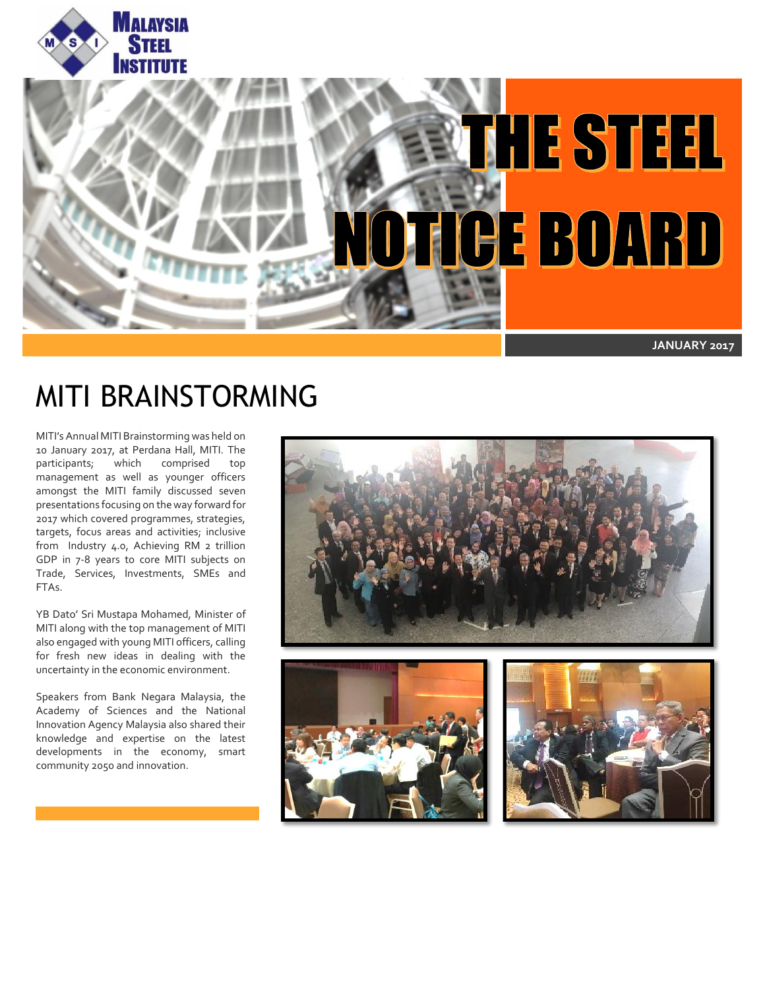



## MITI BRAINSTORMING

MITI's Annual MITI Brainstorming was held on 10 January 2017, at Perdana Hall, MITI. The<br>participants; which comprised top which comprised top management as well as younger officers amongst the MITI family discussed seven presentations focusing on the way forward for 2017 which covered programmes, strategies, targets, focus areas and activities; inclusive from Industry 4.0, Achieving RM 2 trillion GDP in 7 -8 years to core MITI subjects on Trade, Services, Investments, SMEs and FTAs.

YB Dato' Sri Mustapa Mohamed, Minister of MITI along with the top management of MITI also engaged with young MITI officers, calling for fresh new ideas in dealing with the uncertainty in the economic environment.

Speakers from Bank Negara Malaysia, the Academy of Sciences and the National Innovation Agency Malaysia also shared their knowledge and expertise on the latest developments in the economy, smart community 2050 and innovation.

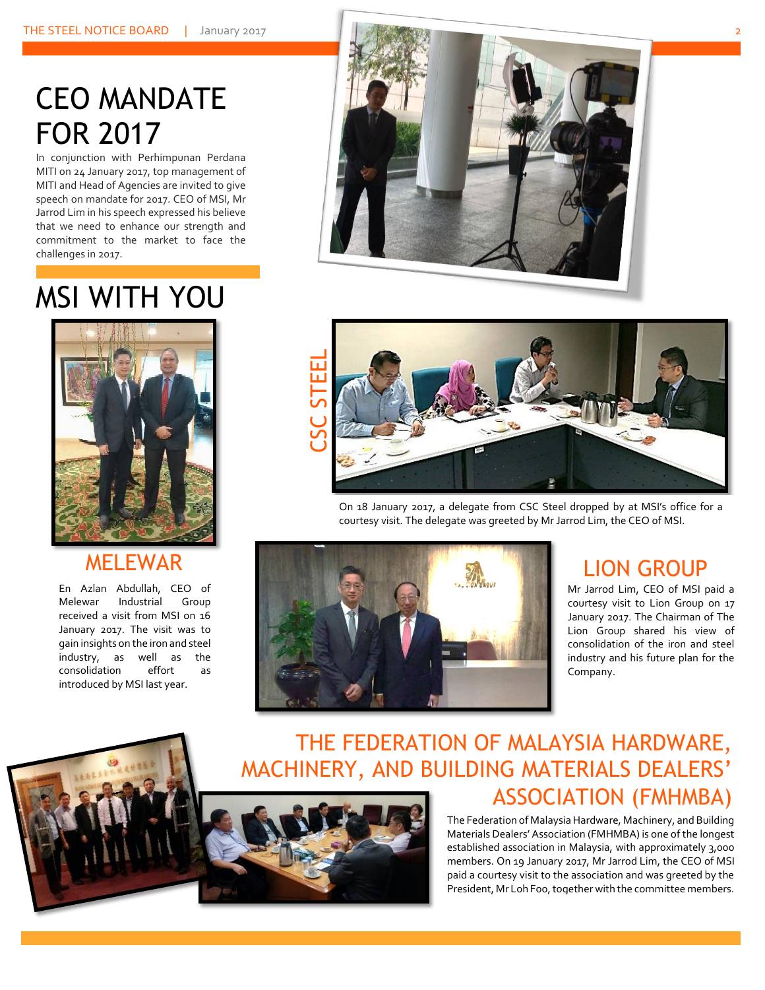## CEO MANDATE FOR 2017

In conjunction with Perhimpunan Perdana MITI on 24 January 2017, top management of MITI and Head of Agencies are invited to give speech on mandate for 2017. CEO of MSI, Mr Jarrod Lim in his speech expressed his believe that we need to enhance our strength and commitment to the market to face the challenges in 2017.

## MSI WITH YOU



#### MELEWAR

En Azlan Abdullah, CEO of Melewar Industrial Group received a visit from MSI on 16 January 2017. The visit was to gain insights on the iron and steel industry, as well as the consolidation effort as introduced by MSI last year.





On 18 January 2017, a delegate from CSC Steel dropped by at MSI's office for a courtesy visit. The delegate was greeted by Mr Jarrod Lim, the CEO of MSI.



#### LION GROUP

Mr Jarrod Lim, CEO of MSI paid a courtesy visit to Lion Group on 17 January 2017. The Chairman of The Lion Group shared his view of consolidation of the iron and steel industry and his future plan for the Company.



### THE FEDERATION OF MALAYSIA HARDWARE, MACHINERY, AND BUILDING MATERIALS DEALERS' ASSOCIATION (FMHMBA)

The Federation of Malaysia Hardware, Machinery, and Building Materials Dealers' Association (FMHMBA) is one of the longest established association in Malaysia, with approximately 3,000 members. On 19 January 2017, Mr Jarrod Lim, the CEO of MSI paid a courtesy visit to the association and was greeted by the President, Mr Loh Foo, together with the committee members.